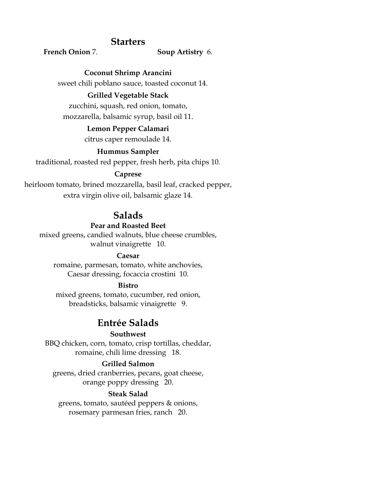# **Starters**

## **French Onion** 7. **Soup Artistry** 6.

**Coconut Shrimp Arancini**

sweet chili poblano sauce, toasted coconut 14.

# **Grilled Vegetable Stack**

zucchini, squash, red onion, tomato, mozzarella, balsamic syrup, basil oil 11.

## **Lemon Pepper Calamari**

citrus caper remoulade 14.

## **Hummus Sampler**

traditional, roasted red pepper, fresh herb, pita chips 10.

## **Caprese**

heirloom tomato, brined mozzarella, basil leaf, cracked pepper, extra virgin olive oil, balsamic glaze 14.

# **Salads**

### **Pear and Roasted Beet**

mixed greens, candied walnuts, blue cheese crumbles, walnut vinaigrette 10.

## **Caesar**

romaine, parmesan, tomato, white anchovies, Caesar dressing, focaccia crostini 10.

## **Bistro**

mixed greens, tomato, cucumber, red onion, breadsticks, balsamic vinaigrette 9.

# **Entrée Salads**

### **Southwest**

BBQ chicken, corn, tomato, crisp tortillas, cheddar, romaine, chili lime dressing 18.

# **Grilled Salmon**

greens, dried cranberries, pecans, goat cheese, orange poppy dressing 20.

## **Steak Salad**

greens, tomato, sautéed peppers & onions, rosemary parmesan fries, ranch 20.